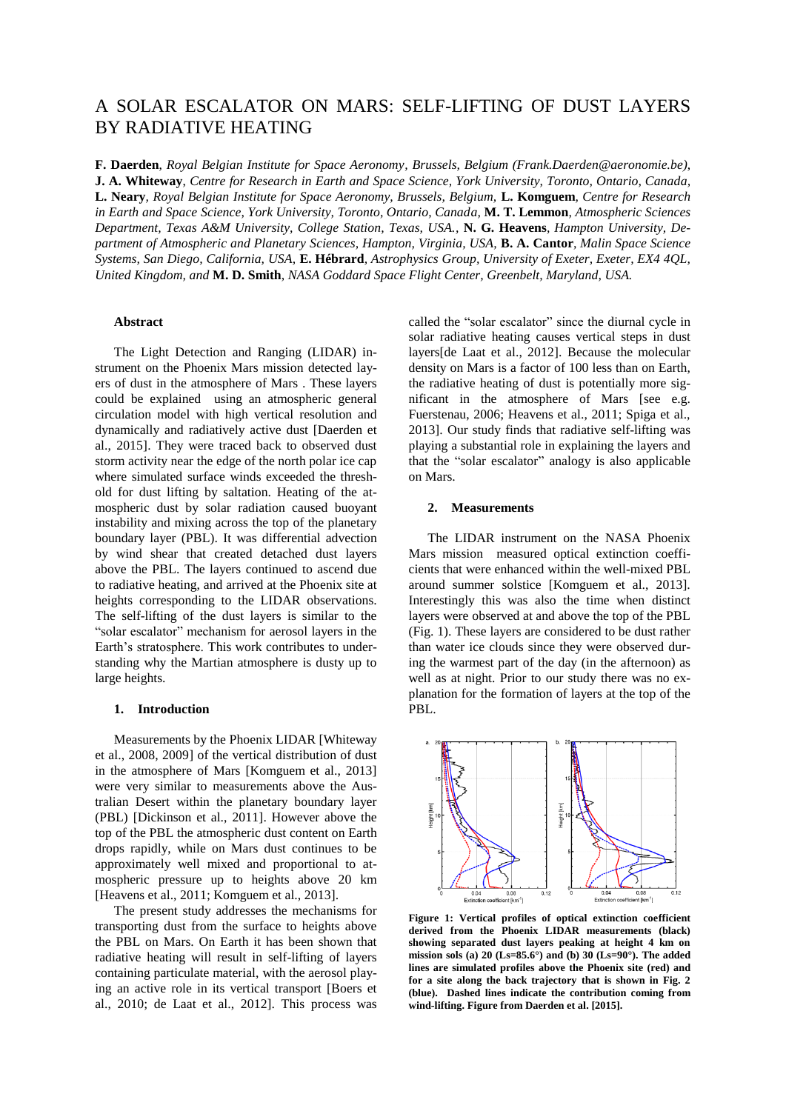# A SOLAR ESCALATOR ON MARS: SELF-LIFTING OF DUST LAYERS BY RADIATIVE HEATING

**F. Daerden**, *Royal Belgian Institute for Space Aeronomy, Brussels, Belgium (Frank.Daerden@aeronomie.be)*, **J. A. Whiteway**, *Centre for Research in Earth and Space Science, York University, Toronto, Ontario, Canada,*  **L. Neary***, Royal Belgian Institute for Space Aeronomy, Brussels, Belgium,* **L. Komguem***, Centre for Research in Earth and Space Science, York University, Toronto, Ontario, Canada,* **M. T. Lemmon***, Atmospheric Sciences Department, Texas A&M University, College Station, Texas, USA.,* **N. G. Heavens***, Hampton University, Department of Atmospheric and Planetary Sciences, Hampton, Virginia, USA,* **B. A. Cantor***, Malin Space Science Systems, San Diego, California, USA,* **E. Hébrard***, Astrophysics Group, University of Exeter, Exeter, EX4 4QL, United Kingdom, and* **M. D. Smith***, NASA Goddard Space Flight Center, Greenbelt, Maryland, USA.*

# **Abstract**

The Light Detection and Ranging (LIDAR) instrument on the Phoenix Mars mission detected layers of dust in the atmosphere of Mars . These layers could be explained using an atmospheric general circulation model with high vertical resolution and dynamically and radiatively active dust [Daerden et al., 2015]. They were traced back to observed dust storm activity near the edge of the north polar ice cap where simulated surface winds exceeded the threshold for dust lifting by saltation. Heating of the atmospheric dust by solar radiation caused buoyant instability and mixing across the top of the planetary boundary layer (PBL). It was differential advection by wind shear that created detached dust layers above the PBL. The layers continued to ascend due to radiative heating, and arrived at the Phoenix site at heights corresponding to the LIDAR observations. The self-lifting of the dust layers is similar to the "solar escalator" mechanism for aerosol layers in the Earth's stratosphere. This work contributes to understanding why the Martian atmosphere is dusty up to large heights.

# **1. Introduction**

Measurements by the Phoenix LIDAR [Whiteway et al., 2008, 2009] of the vertical distribution of dust in the atmosphere of Mars [Komguem et al., 2013] were very similar to measurements above the Australian Desert within the planetary boundary layer (PBL) [Dickinson et al., 2011]. However above the top of the PBL the atmospheric dust content on Earth drops rapidly, while on Mars dust continues to be approximately well mixed and proportional to atmospheric pressure up to heights above 20 km [Heavens et al., 2011; Komguem et al., 2013].

The present study addresses the mechanisms for transporting dust from the surface to heights above the PBL on Mars. On Earth it has been shown that radiative heating will result in self-lifting of layers containing particulate material, with the aerosol playing an active role in its vertical transport [Boers et al., 2010; de Laat et al., 2012]. This process was

called the "solar escalator" since the diurnal cycle in solar radiative heating causes vertical steps in dust layers[de Laat et al., 2012]. Because the molecular density on Mars is a factor of 100 less than on Earth, the radiative heating of dust is potentially more significant in the atmosphere of Mars [see e.g. Fuerstenau, 2006; Heavens et al., 2011; Spiga et al., 2013]. Our study finds that radiative self-lifting was playing a substantial role in explaining the layers and that the "solar escalator" analogy is also applicable on Mars.

#### **2. Measurements**

The LIDAR instrument on the NASA Phoenix Mars mission measured optical extinction coefficients that were enhanced within the well-mixed PBL around summer solstice [Komguem et al., 2013]. Interestingly this was also the time when distinct layers were observed at and above the top of the PBL (Fig. 1). These layers are considered to be dust rather than water ice clouds since they were observed during the warmest part of the day (in the afternoon) as well as at night. Prior to our study there was no explanation for the formation of layers at the top of the PBL.



**Figure 1: Vertical profiles of optical extinction coefficient derived from the Phoenix LIDAR measurements (black) showing separated dust layers peaking at height 4 km on mission sols (a) 20 (Ls=85.6°) and (b) 30 (Ls=90°). The added lines are simulated profiles above the Phoenix site (red) and for a site along the back trajectory that is shown in Fig. 2 (blue). Dashed lines indicate the contribution coming from wind-lifting. Figure from Daerden et al. [2015].**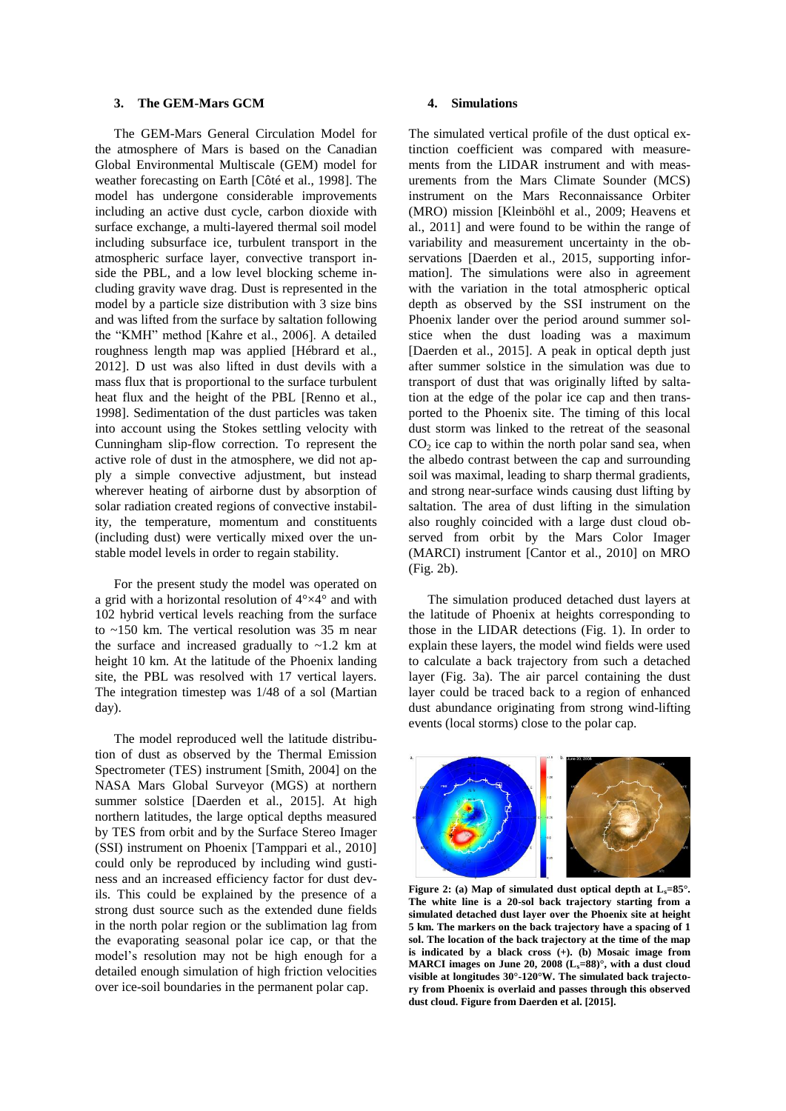# **3. The GEM-Mars GCM**

The GEM-Mars General Circulation Model for the atmosphere of Mars is based on the Canadian Global Environmental Multiscale (GEM) model for weather forecasting on Earth [Côté et al., 1998]. The model has undergone considerable improvements including an active dust cycle, carbon dioxide with surface exchange, a multi-layered thermal soil model including subsurface ice, turbulent transport in the atmospheric surface layer, convective transport inside the PBL, and a low level blocking scheme including gravity wave drag. Dust is represented in the model by a particle size distribution with 3 size bins and was lifted from the surface by saltation following the "KMH" method [Kahre et al., 2006]. A detailed roughness length map was applied [Hébrard et al., 2012]. D ust was also lifted in dust devils with a mass flux that is proportional to the surface turbulent heat flux and the height of the PBL [Renno et al., 1998]. Sedimentation of the dust particles was taken into account using the Stokes settling velocity with Cunningham slip-flow correction. To represent the active role of dust in the atmosphere, we did not apply a simple convective adjustment, but instead wherever heating of airborne dust by absorption of solar radiation created regions of convective instability, the temperature, momentum and constituents (including dust) were vertically mixed over the unstable model levels in order to regain stability.

For the present study the model was operated on a grid with a horizontal resolution of 4°×4° and with 102 hybrid vertical levels reaching from the surface to ~150 km. The vertical resolution was 35 m near the surface and increased gradually to  $\sim$ 1.2 km at height 10 km. At the latitude of the Phoenix landing site, the PBL was resolved with 17 vertical layers. The integration timestep was 1/48 of a sol (Martian day).

The model reproduced well the latitude distribution of dust as observed by the Thermal Emission Spectrometer (TES) instrument [Smith, 2004] on the NASA Mars Global Surveyor (MGS) at northern summer solstice [Daerden et al., 2015]. At high northern latitudes, the large optical depths measured by TES from orbit and by the Surface Stereo Imager (SSI) instrument on Phoenix [Tamppari et al., 2010] could only be reproduced by including wind gustiness and an increased efficiency factor for dust devils. This could be explained by the presence of a strong dust source such as the extended dune fields in the north polar region or the sublimation lag from the evaporating seasonal polar ice cap, or that the model's resolution may not be high enough for a detailed enough simulation of high friction velocities over ice-soil boundaries in the permanent polar cap.

# **4. Simulations**

The simulated vertical profile of the dust optical extinction coefficient was compared with measurements from the LIDAR instrument and with measurements from the Mars Climate Sounder (MCS) instrument on the Mars Reconnaissance Orbiter (MRO) mission [Kleinböhl et al., 2009; Heavens et al., 2011] and were found to be within the range of variability and measurement uncertainty in the observations [Daerden et al., 2015, supporting information]. The simulations were also in agreement with the variation in the total atmospheric optical depth as observed by the SSI instrument on the Phoenix lander over the period around summer solstice when the dust loading was a maximum [Daerden et al., 2015]. A peak in optical depth just after summer solstice in the simulation was due to transport of dust that was originally lifted by saltation at the edge of the polar ice cap and then transported to the Phoenix site. The timing of this local dust storm was linked to the retreat of the seasonal  $CO<sub>2</sub>$  ice cap to within the north polar sand sea, when the albedo contrast between the cap and surrounding soil was maximal, leading to sharp thermal gradients, and strong near-surface winds causing dust lifting by saltation. The area of dust lifting in the simulation also roughly coincided with a large dust cloud observed from orbit by the Mars Color Imager (MARCI) instrument [Cantor et al., 2010] on MRO (Fig. 2b).

The simulation produced detached dust layers at the latitude of Phoenix at heights corresponding to those in the LIDAR detections (Fig. 1). In order to explain these layers, the model wind fields were used to calculate a back trajectory from such a detached layer (Fig. 3a). The air parcel containing the dust layer could be traced back to a region of enhanced dust abundance originating from strong wind-lifting events (local storms) close to the polar cap.



**Figure 2:** (a) Map of simulated dust optical depth at  $L_s = 85^\circ$ . **The white line is a 20-sol back trajectory starting from a simulated detached dust layer over the Phoenix site at height 5 km. The markers on the back trajectory have a spacing of 1 sol. The location of the back trajectory at the time of the map is indicated by a black cross (+). (b) Mosaic image from MARCI images on June 20, 2008 (Ls=88)°, with a dust cloud visible at longitudes 30°-120°W. The simulated back trajectory from Phoenix is overlaid and passes through this observed dust cloud. Figure from Daerden et al. [2015].**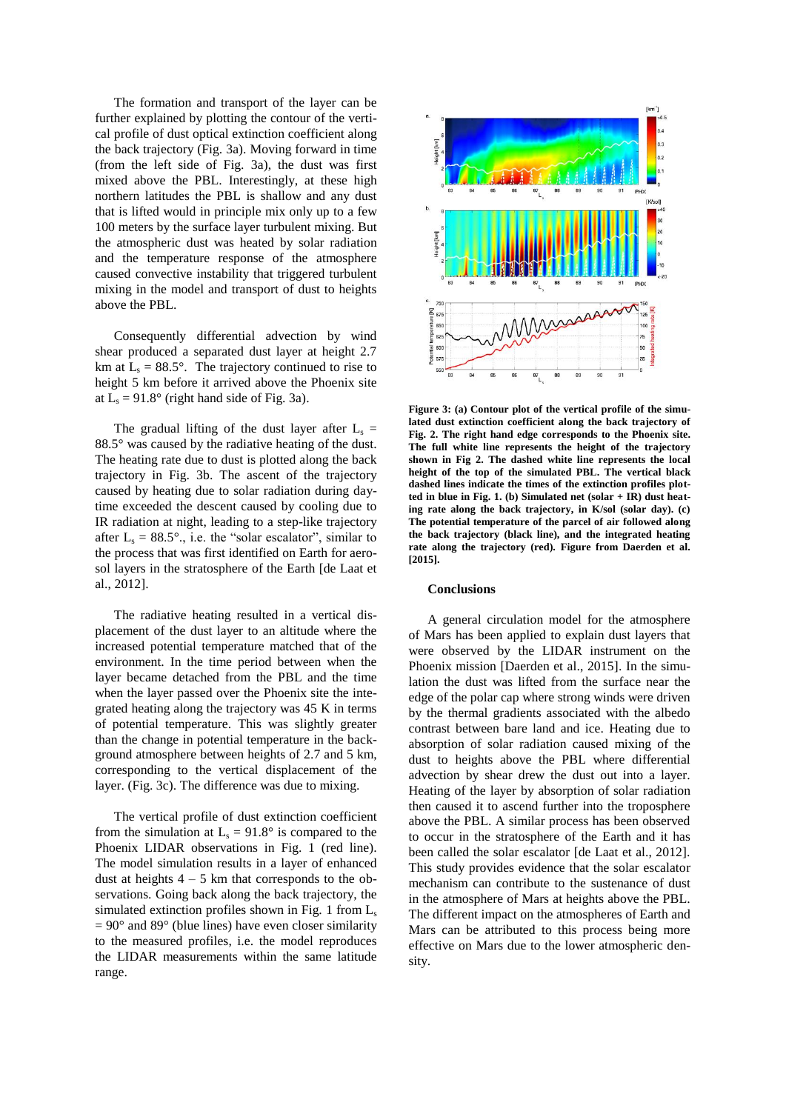The formation and transport of the layer can be further explained by plotting the contour of the vertical profile of dust optical extinction coefficient along the back trajectory (Fig. 3a). Moving forward in time (from the left side of Fig. 3a), the dust was first mixed above the PBL. Interestingly, at these high northern latitudes the PBL is shallow and any dust that is lifted would in principle mix only up to a few 100 meters by the surface layer turbulent mixing. But the atmospheric dust was heated by solar radiation and the temperature response of the atmosphere caused convective instability that triggered turbulent mixing in the model and transport of dust to heights above the PBL.

Consequently differential advection by wind shear produced a separated dust layer at height 2.7 km at  $L_s = 88.5^\circ$ . The trajectory continued to rise to height 5 km before it arrived above the Phoenix site at  $L_s = 91.8^\circ$  (right hand side of Fig. 3a).

The gradual lifting of the dust layer after  $L_s =$ 88.5° was caused by the radiative heating of the dust. The heating rate due to dust is plotted along the back trajectory in Fig. 3b. The ascent of the trajectory caused by heating due to solar radiation during daytime exceeded the descent caused by cooling due to IR radiation at night, leading to a step-like trajectory after  $L_s = 88.5^\circ$ ., i.e. the "solar escalator", similar to the process that was first identified on Earth for aerosol layers in the stratosphere of the Earth [de Laat et al., 2012].

The radiative heating resulted in a vertical displacement of the dust layer to an altitude where the increased potential temperature matched that of the environment. In the time period between when the layer became detached from the PBL and the time when the layer passed over the Phoenix site the integrated heating along the trajectory was 45 K in terms of potential temperature. This was slightly greater than the change in potential temperature in the background atmosphere between heights of 2.7 and 5 km, corresponding to the vertical displacement of the layer. (Fig. 3c). The difference was due to mixing.

The vertical profile of dust extinction coefficient from the simulation at  $L_s = 91.8^\circ$  is compared to the Phoenix LIDAR observations in Fig. 1 (red line). The model simulation results in a layer of enhanced dust at heights  $4 - 5$  km that corresponds to the observations. Going back along the back trajectory, the simulated extinction profiles shown in Fig. 1 from  $L_s$  $= 90^{\circ}$  and 89° (blue lines) have even closer similarity to the measured profiles, i.e. the model reproduces the LIDAR measurements within the same latitude range.



**Figure 3: (a) Contour plot of the vertical profile of the simulated dust extinction coefficient along the back trajectory of Fig. 2. The right hand edge corresponds to the Phoenix site. The full white line represents the height of the trajectory shown in Fig 2. The dashed white line represents the local height of the top of the simulated PBL. The vertical black dashed lines indicate the times of the extinction profiles plotted in blue in Fig. 1. (b) Simulated net (solar + IR) dust heating rate along the back trajectory, in K/sol (solar day). (c) The potential temperature of the parcel of air followed along the back trajectory (black line), and the integrated heating rate along the trajectory (red). Figure from Daerden et al. [2015].**

#### **Conclusions**

A general circulation model for the atmosphere of Mars has been applied to explain dust layers that were observed by the LIDAR instrument on the Phoenix mission [Daerden et al., 2015]. In the simulation the dust was lifted from the surface near the edge of the polar cap where strong winds were driven by the thermal gradients associated with the albedo contrast between bare land and ice. Heating due to absorption of solar radiation caused mixing of the dust to heights above the PBL where differential advection by shear drew the dust out into a layer. Heating of the layer by absorption of solar radiation then caused it to ascend further into the troposphere above the PBL. A similar process has been observed to occur in the stratosphere of the Earth and it has been called the solar escalator [de Laat et al., 2012]. This study provides evidence that the solar escalator mechanism can contribute to the sustenance of dust in the atmosphere of Mars at heights above the PBL. The different impact on the atmospheres of Earth and Mars can be attributed to this process being more effective on Mars due to the lower atmospheric density.